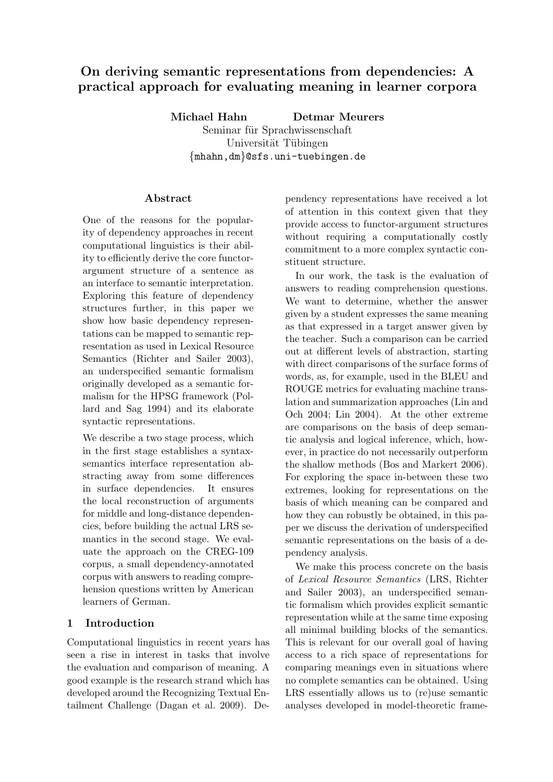# On deriving semantic representations from dependencies: A practical approach for evaluating meaning in learner corpora

Michael Hahn Detmar Meurers

Seminar für Sprachwissenschaft Universität Tübingen {mhahn,dm}@sfs.uni-tuebingen.de

# Abstract

One of the reasons for the popularity of dependency approaches in recent computational linguistics is their ability to efficiently derive the core functorargument structure of a sentence as an interface to semantic interpretation. Exploring this feature of dependency structures further, in this paper we show how basic dependency representations can be mapped to semantic representation as used in Lexical Resource Semantics (Richter and Sailer 2003), an underspecified semantic formalism originally developed as a semantic formalism for the HPSG framework (Pollard and Sag 1994) and its elaborate syntactic representations.

We describe a two stage process, which in the first stage establishes a syntaxsemantics interface representation abstracting away from some differences in surface dependencies. It ensures the local reconstruction of arguments for middle and long-distance dependencies, before building the actual LRS semantics in the second stage. We evaluate the approach on the CREG-109 corpus, a small dependency-annotated corpus with answers to reading comprehension questions written by American learners of German.

# 1 Introduction

Computational linguistics in recent years has seen a rise in interest in tasks that involve the evaluation and comparison of meaning. A good example is the research strand which has developed around the Recognizing Textual Entailment Challenge (Dagan et al. 2009). Dependency representations have received a lot of attention in this context given that they provide access to functor-argument structures without requiring a computationally costly commitment to a more complex syntactic constituent structure.

In our work, the task is the evaluation of answers to reading comprehension questions. We want to determine, whether the answer given by a student expresses the same meaning as that expressed in a target answer given by the teacher. Such a comparison can be carried out at different levels of abstraction, starting with direct comparisons of the surface forms of words, as, for example, used in the BLEU and ROUGE metrics for evaluating machine translation and summarization approaches (Lin and Och 2004; Lin 2004). At the other extreme are comparisons on the basis of deep semantic analysis and logical inference, which, however, in practice do not necessarily outperform the shallow methods (Bos and Markert 2006). For exploring the space in-between these two extremes, looking for representations on the basis of which meaning can be compared and how they can robustly be obtained, in this paper we discuss the derivation of underspecified semantic representations on the basis of a dependency analysis.

We make this process concrete on the basis of Lexical Resource Semantics (LRS, Richter and Sailer 2003), an underspecified semantic formalism which provides explicit semantic representation while at the same time exposing all minimal building blocks of the semantics. This is relevant for our overall goal of having access to a rich space of representations for comparing meanings even in situations where no complete semantics can be obtained. Using LRS essentially allows us to (re)use semantic analyses developed in model-theoretic frame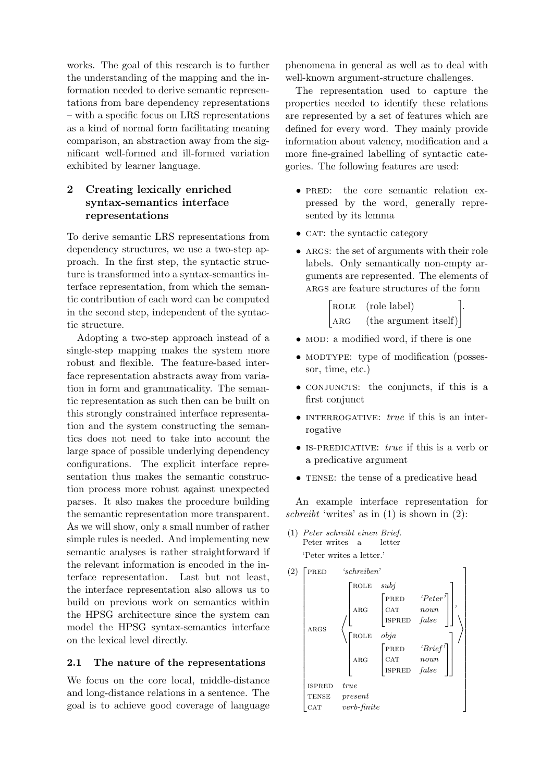works. The goal of this research is to further the understanding of the mapping and the information needed to derive semantic representations from bare dependency representations – with a specific focus on LRS representations as a kind of normal form facilitating meaning comparison, an abstraction away from the significant well-formed and ill-formed variation exhibited by learner language.

# 2 Creating lexically enriched syntax-semantics interface representations

To derive semantic LRS representations from dependency structures, we use a two-step approach. In the first step, the syntactic structure is transformed into a syntax-semantics interface representation, from which the semantic contribution of each word can be computed in the second step, independent of the syntactic structure.

Adopting a two-step approach instead of a single-step mapping makes the system more robust and flexible. The feature-based interface representation abstracts away from variation in form and grammaticality. The semantic representation as such then can be built on this strongly constrained interface representation and the system constructing the semantics does not need to take into account the large space of possible underlying dependency configurations. The explicit interface representation thus makes the semantic construction process more robust against unexpected parses. It also makes the procedure building the semantic representation more transparent. As we will show, only a small number of rather simple rules is needed. And implementing new semantic analyses is rather straightforward if the relevant information is encoded in the interface representation. Last but not least, the interface representation also allows us to build on previous work on semantics within the HPSG architecture since the system can model the HPSG syntax-semantics interface on the lexical level directly.

#### 2.1 The nature of the representations

We focus on the core local, middle-distance and long-distance relations in a sentence. The goal is to achieve good coverage of language

phenomena in general as well as to deal with well-known argument-structure challenges.

The representation used to capture the properties needed to identify these relations are represented by a set of features which are defined for every word. They mainly provide information about valency, modification and a more fine-grained labelling of syntactic categories. The following features are used:

- PRED: the core semantic relation expressed by the word, generally represented by its lemma
- CAT: the syntactic category
- ARGS: the set of arguments with their role labels. Only semantically non-empty arguments are represented. The elements of args are feature structures of the form

 $\begin{bmatrix} \text{ROLE} & \text{(role label)} \\ \text{ARG} & \text{(the argument itself)} \end{bmatrix}$ .

- MOD: a modified word, if there is one
- MODTYPE: type of modification (possessor, time, etc.)
- conjuncts: the conjuncts, if this is a first conjunct
- INTERROGATIVE:  $true$  if this is an interrogative
- IS-PREDICATIVE:  $true$  if this is a verb or a predicative argument
- TENSE: the tense of a predicative head

An example interface representation for schreibt 'writes' as in  $(1)$  is shown in  $(2)$ :

(1) Peter schreibt einen Brief. Peter writes a letter 'Peter writes a letter.'

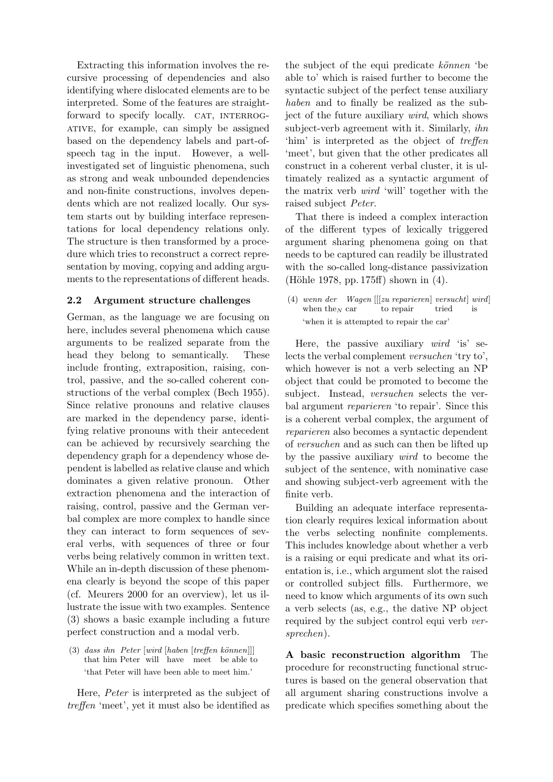Extracting this information involves the recursive processing of dependencies and also identifying where dislocated elements are to be interpreted. Some of the features are straightforward to specify locally. CAT, INTERROGative, for example, can simply be assigned based on the dependency labels and part-ofspeech tag in the input. However, a wellinvestigated set of linguistic phenomena, such as strong and weak unbounded dependencies and non-finite constructions, involves dependents which are not realized locally. Our system starts out by building interface representations for local dependency relations only. The structure is then transformed by a procedure which tries to reconstruct a correct representation by moving, copying and adding arguments to the representations of different heads.

### 2.2 Argument structure challenges

German, as the language we are focusing on here, includes several phenomena which cause arguments to be realized separate from the head they belong to semantically. These include fronting, extraposition, raising, control, passive, and the so-called coherent constructions of the verbal complex (Bech 1955). Since relative pronouns and relative clauses are marked in the dependency parse, identifying relative pronouns with their antecedent can be achieved by recursively searching the dependency graph for a dependency whose dependent is labelled as relative clause and which dominates a given relative pronoun. Other extraction phenomena and the interaction of raising, control, passive and the German verbal complex are more complex to handle since they can interact to form sequences of several verbs, with sequences of three or four verbs being relatively common in written text. While an in-depth discussion of these phenomena clearly is beyond the scope of this paper (cf. Meurers 2000 for an overview), let us illustrate the issue with two examples. Sentence (3) shows a basic example including a future perfect construction and a modal verb.

 $(3)$  dass ihn Peter  $[wind[haben[treffenkönnen]]]$ that him Peter will have meet be able to 'that Peter will have been able to meet him.'

Here, Peter is interpreted as the subject of treffen 'meet', yet it must also be identified as

the subject of the equi predicate  $k\ddot{\text{o}}$ *nnen* 'be able to' which is raised further to become the syntactic subject of the perfect tense auxiliary haben and to finally be realized as the subject of the future auxiliary wird, which shows subject-verb agreement with it. Similarly, ihn 'him' is interpreted as the object of treffen 'meet', but given that the other predicates all construct in a coherent verbal cluster, it is ultimately realized as a syntactic argument of the matrix verb wird 'will' together with the raised subject Peter.

That there is indeed a complex interaction of the different types of lexically triggered argument sharing phenomena going on that needs to be captured can readily be illustrated with the so-called long-distance passivization (Höhle 1978, pp. 175ff) shown in  $(4)$ .

(4) wenn der Wagen [[[zu reparieren] versucht] wird] when the<sub>N</sub> car to repair tried is 'when it is attempted to repair the car'

Here, the passive auxiliary wird 'is' selects the verbal complement versuchen 'try to', which however is not a verb selecting an NP object that could be promoted to become the subject. Instead, versuchen selects the verbal argument reparieren 'to repair'. Since this is a coherent verbal complex, the argument of reparieren also becomes a syntactic dependent of versuchen and as such can then be lifted up by the passive auxiliary wird to become the subject of the sentence, with nominative case and showing subject-verb agreement with the finite verb.

Building an adequate interface representation clearly requires lexical information about the verbs selecting nonfinite complements. This includes knowledge about whether a verb is a raising or equi predicate and what its orientation is, i.e., which argument slot the raised or controlled subject fills. Furthermore, we need to know which arguments of its own such a verb selects (as, e.g., the dative NP object required by the subject control equi verb versprechen).

A basic reconstruction algorithm The procedure for reconstructing functional structures is based on the general observation that all argument sharing constructions involve a predicate which specifies something about the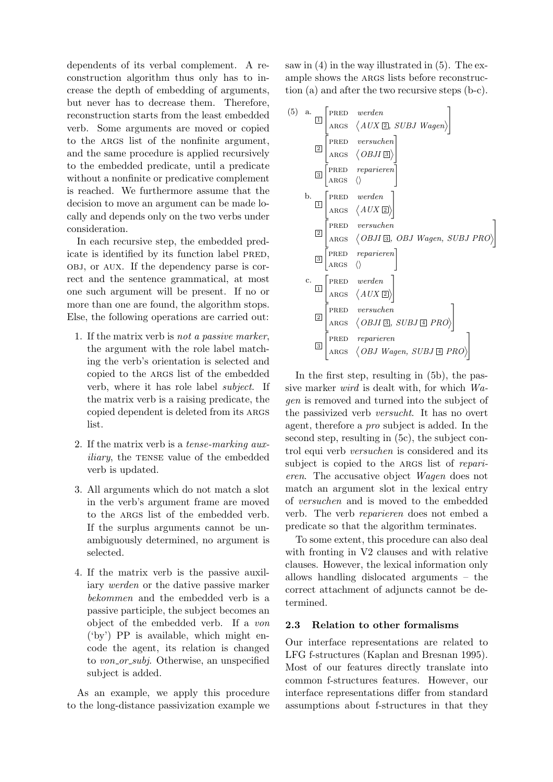dependents of its verbal complement. A reconstruction algorithm thus only has to increase the depth of embedding of arguments, but never has to decrease them. Therefore, reconstruction starts from the least embedded verb. Some arguments are moved or copied to the ARGS list of the nonfinite argument, and the same procedure is applied recursively to the embedded predicate, until a predicate without a nonfinite or predicative complement is reached. We furthermore assume that the decision to move an argument can be made locally and depends only on the two verbs under consideration.

In each recursive step, the embedded predicate is identified by its function label PRED, obj, or aux. If the dependency parse is correct and the sentence grammatical, at most one such argument will be present. If no or more than one are found, the algorithm stops. Else, the following operations are carried out:

- 1. If the matrix verb is not a passive marker, the argument with the role label matching the verb's orientation is selected and copied to the args list of the embedded verb, where it has role label subject. If the matrix verb is a raising predicate, the copied dependent is deleted from its args list.
- 2. If the matrix verb is a tense-marking aux*iliary*, the TENSE value of the embedded verb is updated.
- 3. All arguments which do not match a slot in the verb's argument frame are moved to the ARGS list of the embedded verb. If the surplus arguments cannot be unambiguously determined, no argument is selected.
- 4. If the matrix verb is the passive auxiliary werden or the dative passive marker bekommen and the embedded verb is a passive participle, the subject becomes an object of the embedded verb. If a von ('by') PP is available, which might encode the agent, its relation is changed to von\_or\_subj. Otherwise, an unspecified subject is added.

As an example, we apply this procedure to the long-distance passivization example we

saw in  $(4)$  in the way illustrated in  $(5)$ . The example shows the ARGS lists before reconstruction (a) and after the two recursive steps (b-c).



In the first step, resulting in (5b), the passive marker wird is dealt with, for which Wagen is removed and turned into the subject of the passivized verb versucht. It has no overt agent, therefore a pro subject is added. In the second step, resulting in (5c), the subject control equi verb versuchen is considered and its subject is copied to the ARGS list of reparieren. The accusative object Wagen does not match an argument slot in the lexical entry of versuchen and is moved to the embedded verb. The verb reparieren does not embed a predicate so that the algorithm terminates.

To some extent, this procedure can also deal with fronting in V2 clauses and with relative clauses. However, the lexical information only allows handling dislocated arguments – the correct attachment of adjuncts cannot be determined.

# 2.3 Relation to other formalisms

Our interface representations are related to LFG f-structures (Kaplan and Bresnan 1995). Most of our features directly translate into common f-structures features. However, our interface representations differ from standard assumptions about f-structures in that they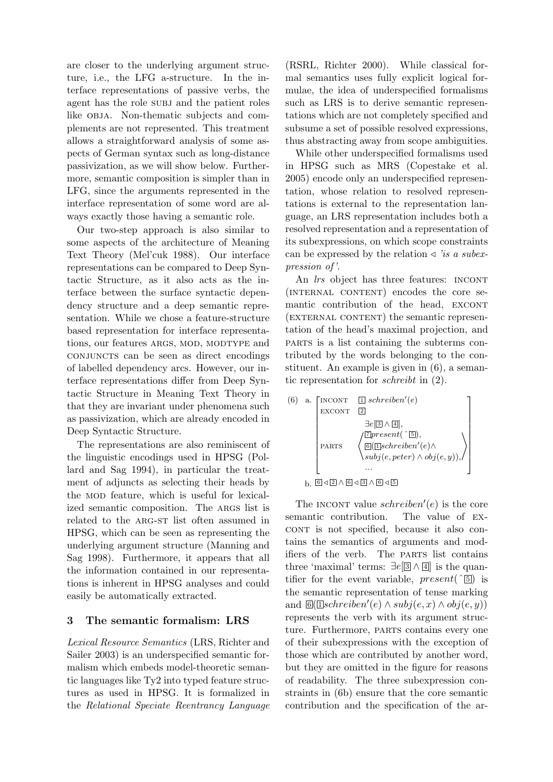are closer to the underlying argument structure, i.e., the LFG a-structure. In the interface representations of passive verbs, the agent has the role subj and the patient roles like OBJA. Non-thematic subjects and complements are not represented. This treatment allows a straightforward analysis of some aspects of German syntax such as long-distance passivization, as we will show below. Furthermore, semantic composition is simpler than in LFG, since the arguments represented in the interface representation of some word are always exactly those having a semantic role.

Our two-step approach is also similar to some aspects of the architecture of Meaning Text Theory (Mel'cuk 1988). Our interface representations can be compared to Deep Syntactic Structure, as it also acts as the interface between the surface syntactic dependency structure and a deep semantic representation. While we chose a feature-structure based representation for interface representations, our features ARGS, MOD, MODTYPE and conjuncts can be seen as direct encodings of labelled dependency arcs. However, our interface representations differ from Deep Syntactic Structure in Meaning Text Theory in that they are invariant under phenomena such as passivization, which are already encoded in Deep Syntactic Structure.

The representations are also reminiscent of the linguistic encodings used in HPSG (Pollard and Sag 1994), in particular the treatment of adjuncts as selecting their heads by the mod feature, which is useful for lexicalized semantic composition. The args list is related to the arg-st list often assumed in HPSG, which can be seen as representing the underlying argument structure (Manning and Sag 1998). Furthermore, it appears that all the information contained in our representations is inherent in HPSG analyses and could easily be automatically extracted.

# 3 The semantic formalism: LRS

Lexical Resource Semantics (LRS, Richter and Sailer 2003) is an underspecified semantic formalism which embeds model-theoretic semantic languages like Ty2 into typed feature structures as used in HPSG. It is formalized in the Relational Speciate Reentrancy Language (RSRL, Richter 2000). While classical formal semantics uses fully explicit logical formulae, the idea of underspecified formalisms such as LRS is to derive semantic representations which are not completely specified and subsume a set of possible resolved expressions, thus abstracting away from scope ambiguities.

While other underspecified formalisms used in HPSG such as MRS (Copestake et al. 2005) encode only an underspecified representation, whose relation to resolved representations is external to the representation language, an LRS representation includes both a resolved representation and a representation of its subexpressions, on which scope constraints can be expressed by the relation  $\triangleleft$  'is a subexpression of '.

An *lrs* object has three features: INCONT (internal content) encodes the core semantic contribution of the head, EXCONT (EXTERNAL CONTENT) the semantic representation of the head's maximal projection, and parts is a list containing the subterms contributed by the words belonging to the constituent. An example is given in (6), a semantic representation for schreibt in (2).



The INCONT value  $schreiben'(e)$  is the core semantic contribution. The value of excont is not specified, because it also contains the semantics of arguments and modifiers of the verb. The parts list contains three 'maximal' terms:  $\exists e \, [\exists \wedge \, \exists \, ]$  is the quantifier for the event variable,  $present(^{\sim}5)$  is the semantic representation of tense marking and  $\mathbb{E}(\mathbb{I}]\text{s}$ chreiben'(e) ∧ subj $(e, x) \land obj(e, y)$ represents the verb with its argument structure. Furthermore, PARTS contains every one of their subexpressions with the exception of those which are contributed by another word, but they are omitted in the figure for reasons of readability. The three subexpression constraints in (6b) ensure that the core semantic contribution and the specification of the ar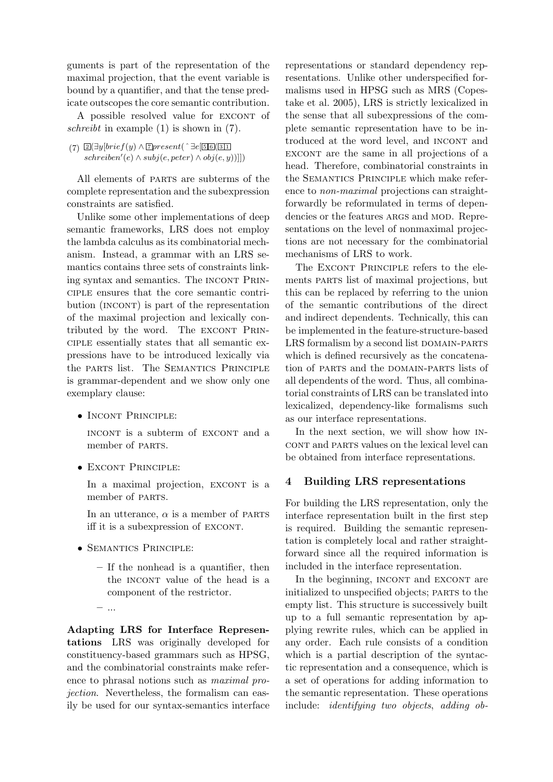guments is part of the representation of the maximal projection, that the event variable is bound by a quantifier, and that the tense predicate outscopes the core semantic contribution.

A possible resolved value for EXCONT of schreibt in example  $(1)$  is shown in  $(7)$ .

(7)  $\mathbb{E}(\exists y[brief(y) \wedge \mathbb{Z} | present ( \hat{\neg} \exists e[\overline{516}([311$  $schreiben'(e) \wedge subj(e, peter) \wedge obj(e, y))]$ 

All elements of parts are subterms of the complete representation and the subexpression constraints are satisfied.

Unlike some other implementations of deep semantic frameworks, LRS does not employ the lambda calculus as its combinatorial mechanism. Instead, a grammar with an LRS semantics contains three sets of constraints linking syntax and semantics. The INCONT PRINciple ensures that the core semantic contribution (INCONT) is part of the representation of the maximal projection and lexically contributed by the word. The EXCONT PRINciple essentially states that all semantic expressions have to be introduced lexically via the parts list. The Semantics Principle is grammar-dependent and we show only one exemplary clause:

• Incont Principle:

incont is a subterm of excont and a member of PARTS.

• EXCONT PRINCIPLE:

In a maximal projection, EXCONT is a member of PARTS.

In an utterance,  $\alpha$  is a member of PARTS iff it is a subexpression of EXCONT.

• Semantics Principle:

– ...

– If the nonhead is a quantifier, then the incont value of the head is a component of the restrictor.

Adapting LRS for Interface Representations LRS was originally developed for constituency-based grammars such as HPSG, and the combinatorial constraints make reference to phrasal notions such as maximal projection. Nevertheless, the formalism can easily be used for our syntax-semantics interface

representations or standard dependency representations. Unlike other underspecified formalisms used in HPSG such as MRS (Copestake et al. 2005), LRS is strictly lexicalized in the sense that all subexpressions of the complete semantic representation have to be introduced at the word level, and INCONT and excont are the same in all projections of a head. Therefore, combinatorial constraints in the Semantics Principle which make reference to non-maximal projections can straightforwardly be reformulated in terms of dependencies or the features ARGS and MOD. Representations on the level of nonmaximal projections are not necessary for the combinatorial mechanisms of LRS to work.

The EXCONT PRINCIPLE refers to the elements parts list of maximal projections, but this can be replaced by referring to the union of the semantic contributions of the direct and indirect dependents. Technically, this can be implemented in the feature-structure-based LRS formalism by a second list DOMAIN-PARTS which is defined recursively as the concatenation of PARTS and the DOMAIN-PARTS lists of all dependents of the word. Thus, all combinatorial constraints of LRS can be translated into lexicalized, dependency-like formalisms such as our interface representations.

In the next section, we will show how incont and parts values on the lexical level can be obtained from interface representations.

### 4 Building LRS representations

For building the LRS representation, only the interface representation built in the first step is required. Building the semantic representation is completely local and rather straightforward since all the required information is included in the interface representation.

In the beginning, INCONT and EXCONT are initialized to unspecified objects; parts to the empty list. This structure is successively built up to a full semantic representation by applying rewrite rules, which can be applied in any order. Each rule consists of a condition which is a partial description of the syntactic representation and a consequence, which is a set of operations for adding information to the semantic representation. These operations include: identifying two objects, adding ob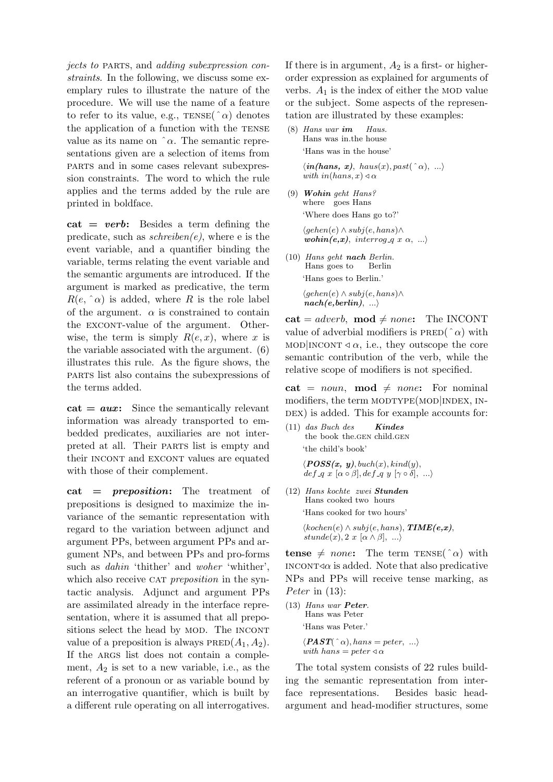jects to parts, and adding subexpression constraints. In the following, we discuss some exemplary rules to illustrate the nature of the procedure. We will use the name of a feature to refer to its value, e.g.,  $TENSE(\hat{\alpha})$  denotes the application of a function with the TENSE value as its name on  $\hat{\alpha}$ . The semantic representations given are a selection of items from parts and in some cases relevant subexpression constraints. The word to which the rule applies and the terms added by the rule are printed in boldface.

 $\textbf{cat} = \textbf{verb:}$  Besides a term defining the predicate, such as  $schreiben(e)$ , where e is the event variable, and a quantifier binding the variable, terms relating the event variable and the semantic arguments are introduced. If the argument is marked as predicative, the term  $R(e, \hat{\alpha})$  is added, where R is the role label of the argument.  $\alpha$  is constrained to contain the EXCONT-value of the argument. Otherwise, the term is simply  $R(e, x)$ , where x is the variable associated with the argument. (6) illustrates this rule. As the figure shows, the parts list also contains the subexpressions of the terms added.

 $\textbf{cat} = \textbf{aux}:$  Since the semantically relevant information was already transported to embedded predicates, auxiliaries are not interpreted at all. Their parts list is empty and their INCONT and EXCONT values are equated with those of their complement.

 $cat = preposition:$  The treatment of prepositions is designed to maximize the invariance of the semantic representation with regard to the variation between adjunct and argument PPs, between argument PPs and argument NPs, and between PPs and pro-forms such as dahin 'thither' and woher 'whither', which also receive CAT *preposition* in the syntactic analysis. Adjunct and argument PPs are assimilated already in the interface representation, where it is assumed that all prepositions select the head by MOD. The INCONT value of a preposition is always  $PRED(A_1, A_2)$ . If the ARGS list does not contain a complement,  $A_2$  is set to a new variable, i.e., as the referent of a pronoun or as variable bound by an interrogative quantifier, which is built by a different rule operating on all interrogatives.

If there is in argument,  $A_2$  is a first- or higherorder expression as explained for arguments of verbs.  $A_1$  is the index of either the MOD value or the subject. Some aspects of the representation are illustrated by these examples:

(8) Hans war im Hans was in.the house Haus. 'Hans was in the house'

> $\langle \textit{in}(\textit{hans}, \textit{x}), \textit{haus}(x), \textit{past}(^\wedge \alpha), \ldots \rangle$ with  $in(hans, x) \triangleleft \alpha$

- (9) Wohin geht Hans? where goes Hans 'Where does Hans go to?'  $\langle qehen(e) \wedge subj(e, hans) \wedge \rangle$ wohin(e,x), interrog q x  $\alpha$ , ...)
- (10) Hans geht nach Berlin. Hans goes to Berlin 'Hans goes to Berlin.'  $\langle qehen(e) \wedge subj(e, hans) \wedge \langle qehen(e) \rangle$  $nach(e,berlin), ...$

cat = adverb, mod  $\neq$  none: The INCONT value of adverbial modifiers is PRED( $\hat{\alpha}$ ) with MOD|INCONT  $\triangleleft \alpha$ , i.e., they outscope the core semantic contribution of the verb, while the relative scope of modifiers is not specified.

cat = noun, mod  $\neq$  none: For nominal modifiers, the term MODTYPE(MOD INDEX, IN-DEX) is added. This for example accounts for:

(11) das Buch des the book the.GEN child.GEN Kindes 'the child's book'

> $\langle \textit{POSS}(x, y), \textit{buch}(x), \textit{kind}(y), \rangle$  $def_q x [\alpha \circ \beta], def_q y [\gamma \circ \delta], ...$

(12) Hans kochte zwei Stunden Hans cooked two hours 'Hans cooked for two hours'  $\langle kochen(e) \wedge subj(e, hans), \textbf{TIME}(e, x), \rangle$  $stunde(x), 2 x [\alpha \wedge \beta], ...)$ 

tense  $\neq$  none: The term TENSE( $\hat{\alpha}$ ) with  $INCONT \triangleleft \alpha$  is added. Note that also predicative NPs and PPs will receive tense marking, as Peter in  $(13)$ :

(13) Hans war Peter. Hans was Peter 'Hans was Peter.'  $\langle PAST(\hat{\ } \alpha), hans = peter, \ldots \rangle$ with hans  $=$  peter  $\triangleleft \alpha$ 

The total system consists of 22 rules building the semantic representation from interface representations. Besides basic headargument and head-modifier structures, some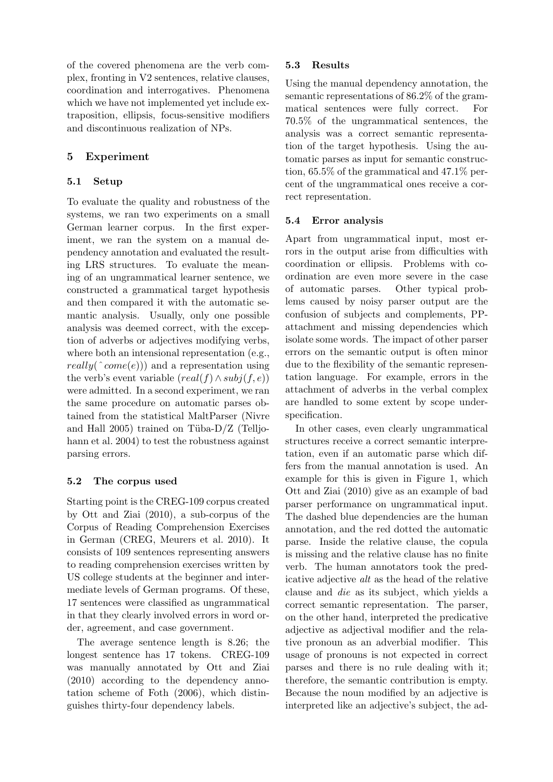of the covered phenomena are the verb complex, fronting in V2 sentences, relative clauses, coordination and interrogatives. Phenomena which we have not implemented yet include extraposition, ellipsis, focus-sensitive modifiers and discontinuous realization of NPs.

# 5 Experiment

# 5.1 Setup

To evaluate the quality and robustness of the systems, we ran two experiments on a small German learner corpus. In the first experiment, we ran the system on a manual dependency annotation and evaluated the resulting LRS structures. To evaluate the meaning of an ungrammatical learner sentence, we constructed a grammatical target hypothesis and then compared it with the automatic semantic analysis. Usually, only one possible analysis was deemed correct, with the exception of adverbs or adjectives modifying verbs, where both an intensional representation (e.g., really( $\hat{c}$ come(e))) and a representation using the verb's event variable  $(\text{real}(f) \wedge \text{sub}j(f, e))$ were admitted. In a second experiment, we ran the same procedure on automatic parses obtained from the statistical MaltParser (Nivre and Hall 2005) trained on Tüba-D/Z (Telljohann et al. 2004) to test the robustness against parsing errors.

# 5.2 The corpus used

Starting point is the CREG-109 corpus created by Ott and Ziai (2010), a sub-corpus of the Corpus of Reading Comprehension Exercises in German (CREG, Meurers et al. 2010). It consists of 109 sentences representing answers to reading comprehension exercises written by US college students at the beginner and intermediate levels of German programs. Of these, 17 sentences were classified as ungrammatical in that they clearly involved errors in word order, agreement, and case government.

The average sentence length is 8.26; the longest sentence has 17 tokens. CREG-109 was manually annotated by Ott and Ziai (2010) according to the dependency annotation scheme of Foth (2006), which distinguishes thirty-four dependency labels.

#### 5.3 Results

Using the manual dependency annotation, the semantic representations of 86.2% of the grammatical sentences were fully correct. For 70.5% of the ungrammatical sentences, the analysis was a correct semantic representation of the target hypothesis. Using the automatic parses as input for semantic construction, 65.5% of the grammatical and 47.1% percent of the ungrammatical ones receive a correct representation.

### 5.4 Error analysis

Apart from ungrammatical input, most errors in the output arise from difficulties with coordination or ellipsis. Problems with coordination are even more severe in the case of automatic parses. Other typical problems caused by noisy parser output are the confusion of subjects and complements, PPattachment and missing dependencies which isolate some words. The impact of other parser errors on the semantic output is often minor due to the flexibility of the semantic representation language. For example, errors in the attachment of adverbs in the verbal complex are handled to some extent by scope underspecification.

In other cases, even clearly ungrammatical structures receive a correct semantic interpretation, even if an automatic parse which differs from the manual annotation is used. An example for this is given in Figure 1, which Ott and Ziai (2010) give as an example of bad parser performance on ungrammatical input. The dashed blue dependencies are the human annotation, and the red dotted the automatic parse. Inside the relative clause, the copula is missing and the relative clause has no finite verb. The human annotators took the predicative adjective alt as the head of the relative clause and die as its subject, which yields a correct semantic representation. The parser, on the other hand, interpreted the predicative adjective as adjectival modifier and the relative pronoun as an adverbial modifier. This usage of pronouns is not expected in correct parses and there is no rule dealing with it; therefore, the semantic contribution is empty. Because the noun modified by an adjective is interpreted like an adjective's subject, the ad-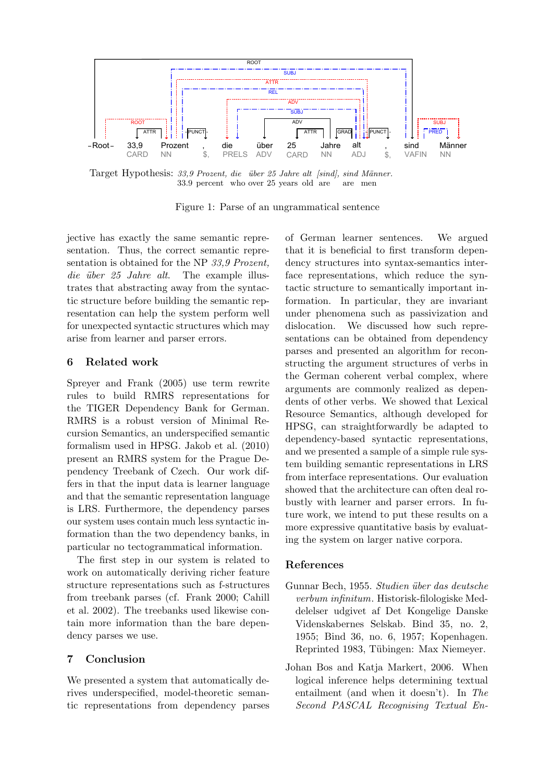

33.9 percent who over 25 years old are are men

Figure 1: Parse of an ungrammatical sentence

jective has exactly the same semantic representation. Thus, the correct semantic representation is obtained for the NP 33,9 Prozent,  $die\; über\; 25\; Jahre\; alt.$  The example illustrates that abstracting away from the syntactic structure before building the semantic representation can help the system perform well for unexpected syntactic structures which may arise from learner and parser errors.

### 6 Related work

Spreyer and Frank (2005) use term rewrite rules to build RMRS representations for the TIGER Dependency Bank for German. RMRS is a robust version of Minimal Recursion Semantics, an underspecified semantic formalism used in HPSG. Jakob et al. (2010) present an RMRS system for the Prague Dependency Treebank of Czech. Our work differs in that the input data is learner language and that the semantic representation language is LRS. Furthermore, the dependency parses our system uses contain much less syntactic information than the two dependency banks, in particular no tectogrammatical information.

The first step in our system is related to work on automatically deriving richer feature structure representations such as f-structures from treebank parses (cf. Frank 2000; Cahill et al. 2002). The treebanks used likewise contain more information than the bare dependency parses we use.

# 7 Conclusion

We presented a system that automatically derives underspecified, model-theoretic semantic representations from dependency parses

of German learner sentences. We argued that it is beneficial to first transform dependency structures into syntax-semantics interface representations, which reduce the syntactic structure to semantically important information. In particular, they are invariant under phenomena such as passivization and dislocation. We discussed how such representations can be obtained from dependency parses and presented an algorithm for reconstructing the argument structures of verbs in the German coherent verbal complex, where arguments are commonly realized as dependents of other verbs. We showed that Lexical Resource Semantics, although developed for HPSG, can straightforwardly be adapted to dependency-based syntactic representations, and we presented a sample of a simple rule system building semantic representations in LRS from interface representations. Our evaluation showed that the architecture can often deal robustly with learner and parser errors. In future work, we intend to put these results on a more expressive quantitative basis by evaluating the system on larger native corpora.

# References

- Gunnar Bech, 1955. Studien über das deutsche verbum infinitum. Historisk-filologiske Meddelelser udgivet af Det Kongelige Danske Videnskabernes Selskab. Bind 35, no. 2, 1955; Bind 36, no. 6, 1957; Kopenhagen. Reprinted 1983, Tübingen: Max Niemeyer.
- Johan Bos and Katja Markert, 2006. When logical inference helps determining textual entailment (and when it doesn't). In The Second PASCAL Recognising Textual En-